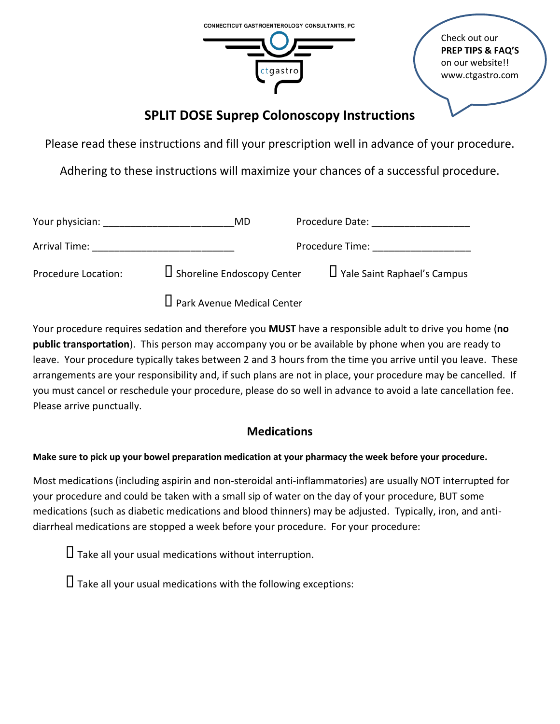

Check out our **PREP TIPS & FAQ'S** on our website!! www.ctgastro.com

# **SPLIT DOSE Suprep Colonoscopy Instructions**

Please read these instructions and fill your prescription well in advance of your procedure.

Adhering to these instructions will maximize your chances of a successful procedure.

| Your physician:     | MD.                               | Procedure Date:                    |
|---------------------|-----------------------------------|------------------------------------|
| Arrival Time:       | Procedure Time:                   |                                    |
| Procedure Location: | L Shoreline Endoscopy Center      | $\Box$ Yale Saint Raphael's Campus |
|                     | $\Box$ Park Avenue Medical Center |                                    |

Your procedure requires sedation and therefore you **MUST** have a responsible adult to drive you home (**no public transportation**). This person may accompany you or be available by phone when you are ready to leave. Your procedure typically takes between 2 and 3 hours from the time you arrive until you leave. These arrangements are your responsibility and, if such plans are not in place, your procedure may be cancelled. If you must cancel or reschedule your procedure, please do so well in advance to avoid a late cancellation fee. Please arrive punctually.

## **Medications**

### **Make sure to pick up your bowel preparation medication at your pharmacy the week before your procedure.**

Most medications (including aspirin and non-steroidal anti-inflammatories) are usually NOT interrupted for your procedure and could be taken with a small sip of water on the day of your procedure, BUT some medications (such as diabetic medications and blood thinners) may be adjusted. Typically, iron, and antidiarrheal medications are stopped a week before your procedure. For your procedure:

 $\Box$  Take all your usual medications without interruption.

 $\Box$  Take all your usual medications with the following exceptions: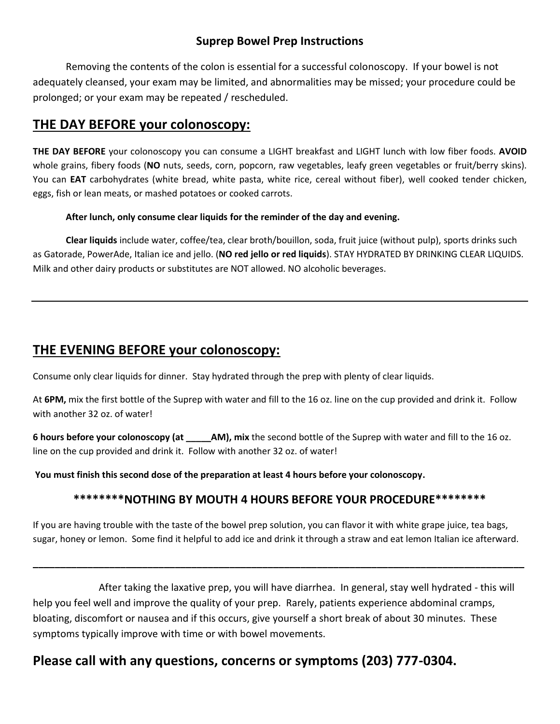### **Suprep Bowel Prep Instructions**

Removing the contents of the colon is essential for a successful colonoscopy. If your bowel is not adequately cleansed, your exam may be limited, and abnormalities may be missed; your procedure could be prolonged; or your exam may be repeated / rescheduled.

## **THE DAY BEFORE your colonoscopy:**

**THE DAY BEFORE** your colonoscopy you can consume a LIGHT breakfast and LIGHT lunch with low fiber foods. **AVOID** whole grains, fibery foods (**NO** nuts, seeds, corn, popcorn, raw vegetables, leafy green vegetables or fruit/berry skins). You can **EAT** carbohydrates (white bread, white pasta, white rice, cereal without fiber), well cooked tender chicken, eggs, fish or lean meats, or mashed potatoes or cooked carrots.

#### **After lunch, only consume clear liquids for the reminder of the day and evening.**

**Clear liquids** include water, coffee/tea, clear broth/bouillon, soda, fruit juice (without pulp), sports drinks such as Gatorade, PowerAde, Italian ice and jello. (**NO red jello or red liquids**). STAY HYDRATED BY DRINKING CLEAR LIQUIDS. Milk and other dairy products or substitutes are NOT allowed. NO alcoholic beverages.

## **THE EVENING BEFORE your colonoscopy:**

Consume only clear liquids for dinner. Stay hydrated through the prep with plenty of clear liquids.

At **6PM,** mix the first bottle of the Suprep with water and fill to the 16 oz. line on the cup provided and drink it. Follow with another 32 oz. of water!

**6 hours before your colonoscopy (at \_\_\_\_\_AM), mix** the second bottle of the Suprep with water and fill to the 16 oz. line on the cup provided and drink it. Follow with another 32 oz. of water!

**You must finish this second dose of the preparation at least 4 hours before your colonoscopy.** 

### **\*\*\*\*\*\*\*\*NOTHING BY MOUTH 4 HOURS BEFORE YOUR PROCEDURE\*\*\*\*\*\*\*\***

If you are having trouble with the taste of the bowel prep solution, you can flavor it with white grape juice, tea bags, sugar, honey or lemon. Some find it helpful to add ice and drink it through a straw and eat lemon Italian ice afterward.

**\_\_\_\_\_\_\_\_\_\_\_\_\_\_\_\_\_\_\_\_\_\_\_\_\_\_\_\_\_\_\_\_\_\_\_\_\_\_\_\_\_\_\_\_\_\_\_\_\_\_\_\_\_\_\_\_\_\_\_\_\_\_\_\_\_\_\_\_\_\_\_\_\_\_\_\_\_\_\_\_\_\_\_\_\_\_\_\_\_\_**

After taking the laxative prep, you will have diarrhea. In general, stay well hydrated - this will help you feel well and improve the quality of your prep. Rarely, patients experience abdominal cramps, bloating, discomfort or nausea and if this occurs, give yourself a short break of about 30 minutes. These symptoms typically improve with time or with bowel movements.

# **Please call with any questions, concerns or symptoms (203) 777-0304.**